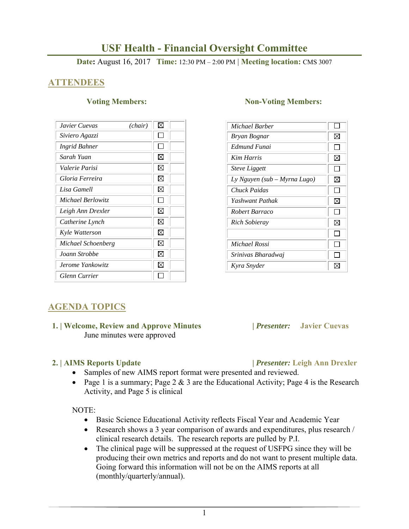# **USF Health - Financial Oversight Committee**

**Date:** August 16, 2017 **Time:** 12:30 PM – 2:00 PM | **Meeting location:** CMS 3007

## **ATTENDEES**

| Javier Cuevas<br>(chair) | ⊠ |
|--------------------------|---|
| Siviero Agazzi           |   |
| <b>Ingrid Bahner</b>     |   |
| Sarah Yuan               | X |
| Valerie Parisi           | X |
| Gloria Ferreira          | ⊠ |
| Lisa Gamell              | ⊠ |
| Michael Berlowitz        |   |
| Leigh Ann Drexler        | ⊠ |
| Catherine Lynch          | ⊠ |
| Kyle Watterson           | ⊠ |
| Michael Schoenberg       | ⊠ |
| Joann Strobbe            | ⊠ |
| Jerome Yankowitz         | ⋈ |
| Glenn Currier            |   |

### **Voting Members:** Non-Voting Members:

| Michael Barber               |    |
|------------------------------|----|
| Bryan Bognar                 | ⊠  |
| Edmund Funai                 | ΙI |
| Kim Harris                   | ⊠  |
| <b>Steve Liggett</b>         |    |
| Ly Nguyen (sub – Myrna Lugo) | ⊠  |
| Chuck Paidas                 |    |
| Yashwant Pathak              | ⊠  |
| Robert Barraco               | ΙI |
| Rich Sobieray                | ⊠  |
|                              |    |
| Michael Rossi                |    |
| Srinivas Bharadwaj           |    |
| Kyra Snyder                  |    |

## **AGENDA TOPICS**

### **1. | Welcome, Review and Approve Minutes****|** *Presenter:* **Javier Cuevas**  June minutes were approved

### **2. | AIMS Reports Update |** *Presenter:* **Leigh Ann Drexler**

- Samples of new AIMS report format were presented and reviewed.
- Page 1 is a summary; Page 2  $& 3$  are the Educational Activity; Page 4 is the Research Activity, and Page 5 is clinical

### NOTE:

- Basic Science Educational Activity reflects Fiscal Year and Academic Year
- Research shows a 3 year comparison of awards and expenditures, plus research / clinical research details. The research reports are pulled by P.I.
- The clinical page will be suppressed at the request of USFPG since they will be producing their own metrics and reports and do not want to present multiple data. Going forward this information will not be on the AIMS reports at all (monthly/quarterly/annual).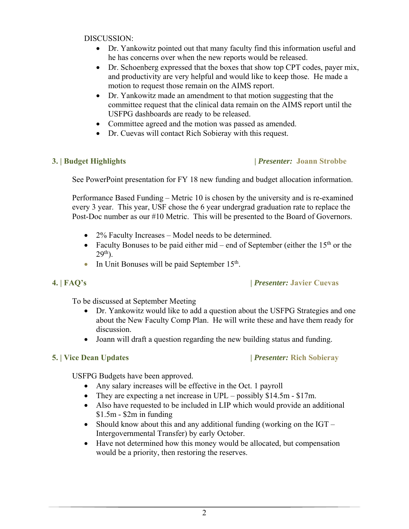DISCUSSION:

- Dr. Yankowitz pointed out that many faculty find this information useful and he has concerns over when the new reports would be released.
- Dr. Schoenberg expressed that the boxes that show top CPT codes, payer mix, and productivity are very helpful and would like to keep those. He made a motion to request those remain on the AIMS report.
- Dr. Yankowitz made an amendment to that motion suggesting that the committee request that the clinical data remain on the AIMS report until the USFPG dashboards are ready to be released.
- Committee agreed and the motion was passed as amended.
- Dr. Cuevas will contact Rich Sobieray with this request.

## **3. | Budget Highlights |** *Presenter:* **Joann Strobbe**

See PowerPoint presentation for FY 18 new funding and budget allocation information.

Performance Based Funding – Metric 10 is chosen by the university and is re-examined every 3 year. This year, USF chose the 6 year undergrad graduation rate to replace the Post-Doc number as our #10 Metric. This will be presented to the Board of Governors.

- 2% Faculty Increases Model needs to be determined.
- Faculty Bonuses to be paid either mid end of September (either the  $15<sup>th</sup>$  or the  $29<sup>th</sup>$ ).
- In Unit Bonuses will be paid September  $15<sup>th</sup>$ .

## **4. | FAQ's |** *Presenter:* **Javier Cuevas**

To be discussed at September Meeting

- Dr. Yankowitz would like to add a question about the USFPG Strategies and one about the New Faculty Comp Plan. He will write these and have them ready for discussion.
- Joann will draft a question regarding the new building status and funding.

## **5. | Vice Dean Updates |** *Presenter:* **Rich Sobieray**

USFPG Budgets have been approved.

- Any salary increases will be effective in the Oct. 1 payroll
- They are expecting a net increase in UPL possibly \$14.5m \$17m.
- Also have requested to be included in LIP which would provide an additional \$1.5m - \$2m in funding
- Should know about this and any additional funding (working on the  $IGT -$ Intergovernmental Transfer) by early October.
- Have not determined how this money would be allocated, but compensation would be a priority, then restoring the reserves.